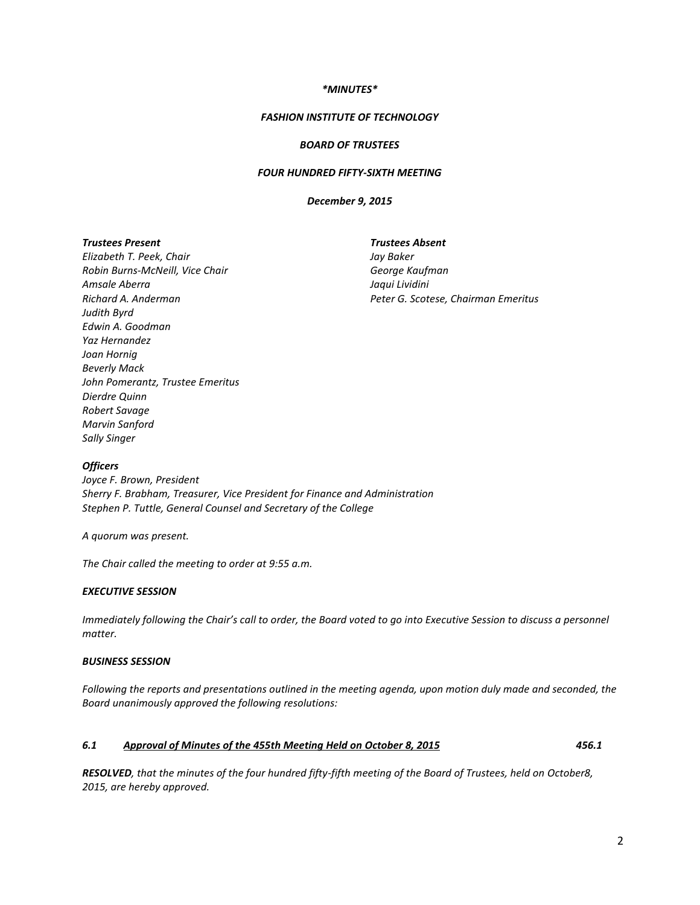### *\*MINUTES\**

#### *FASHION INSTITUTE OF TECHNOLOGY*

### *BOARD OF TRUSTEES*

## *FOUR HUNDRED FIFTY-SIXTH MEETING*

#### *December 9, 2015*

#### *Trustees Present*

*Elizabeth T. Peek, Chair Robin Burns-McNeill, Vice Chair Amsale Aberra Richard A. Anderman Judith Byrd Edwin A. Goodman Yaz Hernandez Joan Hornig Beverly Mack John Pomerantz, Trustee Emeritus Dierdre Quinn Robert Savage Marvin Sanford Sally Singer*

*Trustees Absent Jay Baker George Kaufman Jaqui Lividini Peter G. Scotese, Chairman Emeritus*

#### *Officers*

*Joyce F. Brown, President Sherry F. Brabham, Treasurer, Vice President for Finance and Administration Stephen P. Tuttle, General Counsel and Secretary of the College*

*A quorum was present.* 

*The Chair called the meeting to order at 9:55 a.m.*

## *EXECUTIVE SESSION*

*Immediately following the Chair's call to order, the Board voted to go into Executive Session to discuss a personnel matter.* 

## *BUSINESS SESSION*

*Following the reports and presentations outlined in the meeting agenda, upon motion duly made and seconded, the Board unanimously approved the following resolutions:*

#### *6.1 Approval of Minutes of the 455th Meeting Held on October 8, 2015 456.1*

*RESOLVED, that the minutes of the four hundred fifty-fifth meeting of the Board of Trustees, held on October8, 2015, are hereby approved.*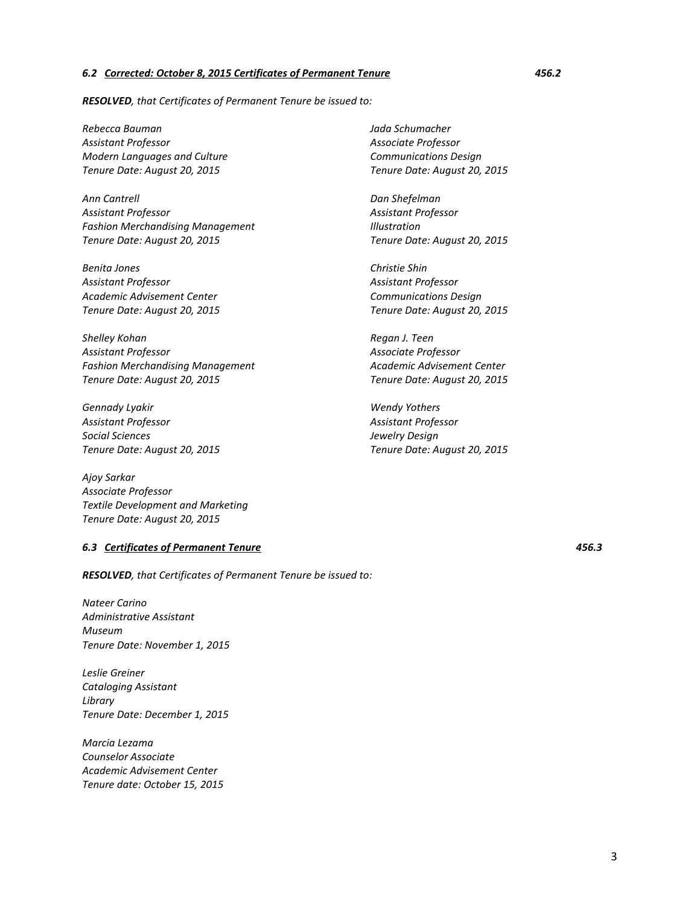#### *6.2 Corrected: October 8, 2015 Certificates of Permanent Tenure 456.2*

*RESOLVED, that Certificates of Permanent Tenure be issued to:*

*Rebecca Bauman Assistant Professor Modern Languages and Culture Tenure Date: August 20, 2015* 

*Ann Cantrell Assistant Professor Fashion Merchandising Management Tenure Date: August 20, 2015*

*Benita Jones Assistant Professor Academic Advisement Center Tenure Date: August 20, 2015*

*Shelley Kohan Assistant Professor Fashion Merchandising Management Tenure Date: August 20, 2015*

*Gennady Lyakir Assistant Professor Social Sciences Tenure Date: August 20, 2015*

*Ajoy Sarkar Associate Professor Textile Development and Marketing Tenure Date: August 20, 2015*

## *6.3 Certificates of Permanent Tenure 456.3*

*RESOLVED, that Certificates of Permanent Tenure be issued to:*

*Nateer Carino Administrative Assistant Museum Tenure Date: November 1, 2015*

*Leslie Greiner Cataloging Assistant Library Tenure Date: December 1, 2015*

*Marcia Lezama Counselor Associate Academic Advisement Center Tenure date: October 15, 2015* *Jada Schumacher Associate Professor Communications Design Tenure Date: August 20, 2015*

*Dan Shefelman Assistant Professor Illustration Tenure Date: August 20, 2015*

*Christie Shin Assistant Professor Communications Design Tenure Date: August 20, 2015*

*Regan J. Teen Associate Professor Academic Advisement Center Tenure Date: August 20, 2015*

*Wendy Yothers Assistant Professor Jewelry Design Tenure Date: August 20, 2015*